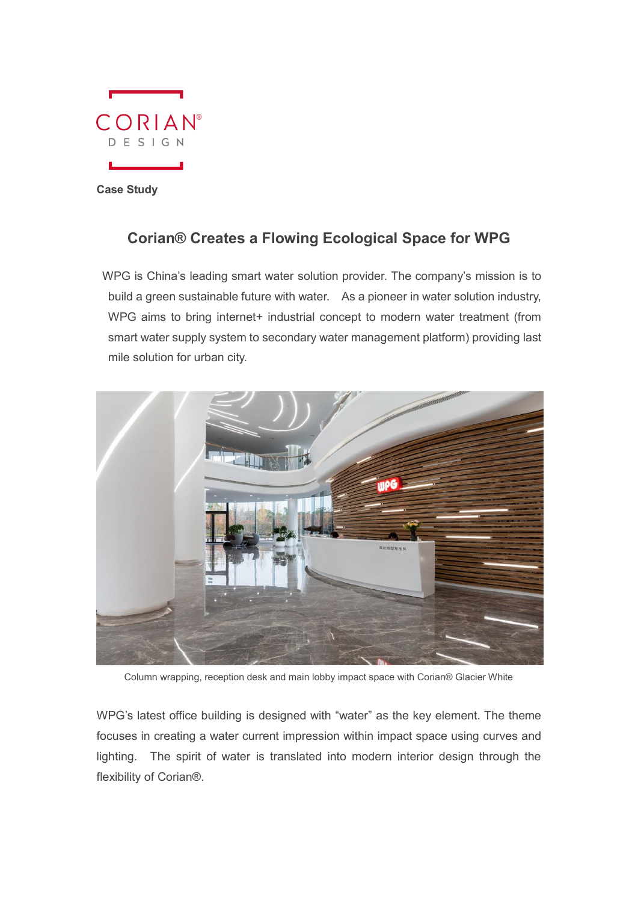

**Case Study**

## **Corian® Creates a Flowing Ecological Space for WPG**

WPG is China's leading smart water solution provider. The company's mission is to build a green sustainable future with water. As a pioneer in water solution industry, WPG aims to bring internet+ industrial concept to modern water treatment (from smart water supply system to secondary water management platform) providing last mile solution for urban city.



Column wrapping, reception desk and main lobby impact space with Corian® Glacier White

WPG's latest office building is designed with "water" as the key element. The theme focuses in creating a water current impression within impact space using curves and lighting. The spirit of water is translated into modern interior design through the flexibility of Corian®.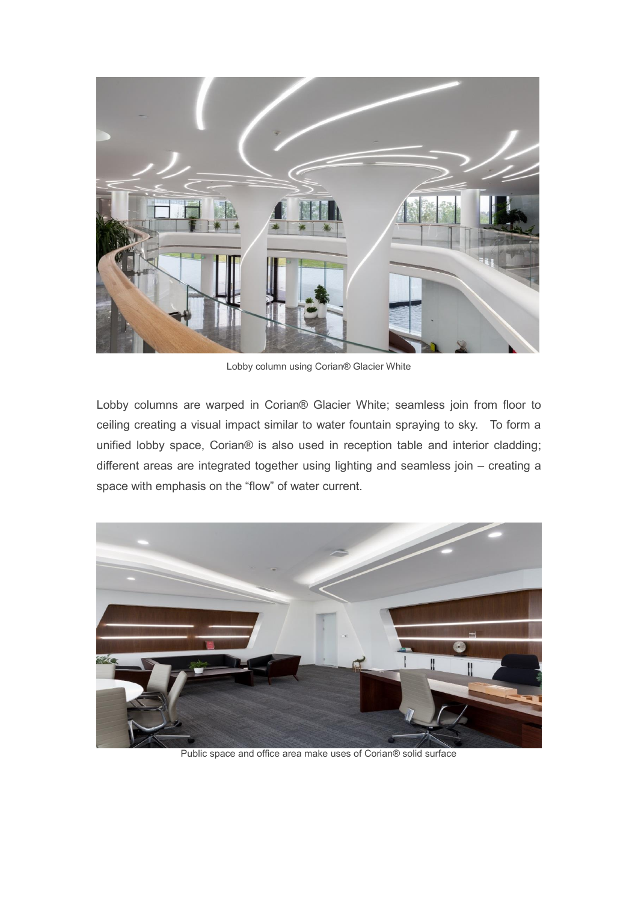

Lobby column using Corian® Glacier White

Lobby columns are warped in Corian® Glacier White; seamless join from floor to ceiling creating a visual impact similar to water fountain spraying to sky. To form a unified lobby space, Corian® is also used in reception table and interior cladding; different areas are integrated together using lighting and seamless join – creating a space with emphasis on the "flow" of water current.



Public space and office area make uses of Corian® solid surface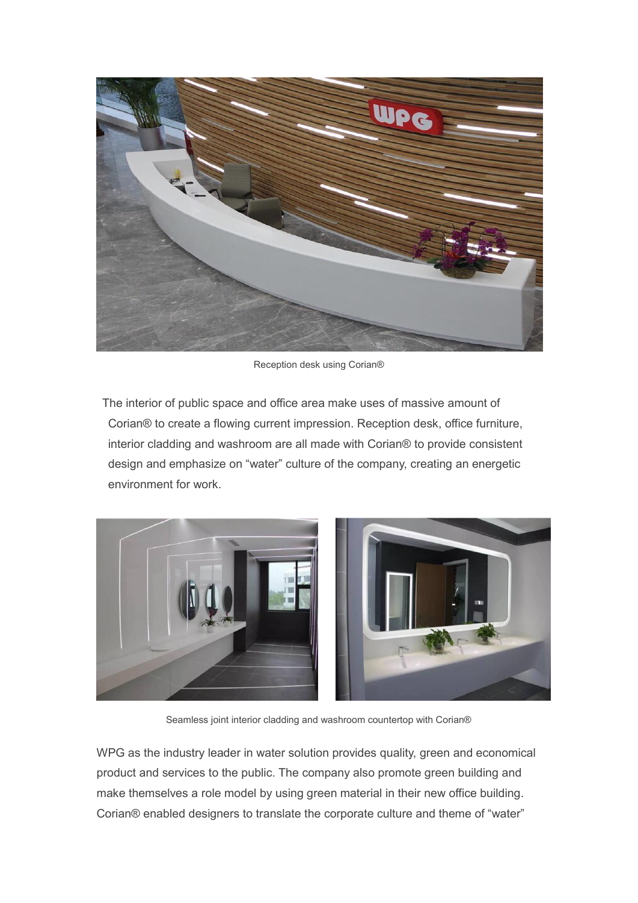

Reception desk using Corian®

The interior of public space and office area make uses of massive amount of Corian® to create a flowing current impression. Reception desk, office furniture, interior cladding and washroom are all made with Corian® to provide consistent design and emphasize on "water" culture of the company, creating an energetic environment for work.



Seamless joint interior cladding and washroom countertop with Corian®

WPG as the industry leader in water solution provides quality, green and economical product and services to the public. The company also promote green building and make themselves a role model by using green material in their new office building. Corian® enabled designers to translate the corporate culture and theme of "water"